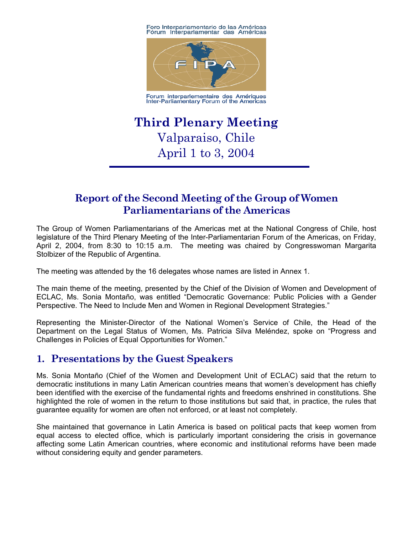Foro Interparlamentario de las Américas<br>Fórum Interparlamentar das Américas



Forum interparlementaire des Amériques<br>Inter-Parliamentary Forum of the Americas

# **Third Plenary Meeting**  Valparaiso, Chile April 1 to 3, 2004

# **Report of the Second Meeting of the Group of Women Parliamentarians of the Americas**

The Group of Women Parliamentarians of the Americas met at the National Congress of Chile, host legislature of the Third Plenary Meeting of the Inter-Parliamentarian Forum of the Americas, on Friday, April 2, 2004, from 8:30 to 10:15 a.m. The meeting was chaired by Congresswoman Margarita Stolbizer of the Republic of Argentina.

The meeting was attended by the 16 delegates whose names are listed in Annex 1.

The main theme of the meeting, presented by the Chief of the Division of Women and Development of ECLAC, Ms. Sonia Montaño, was entitled "Democratic Governance: Public Policies with a Gender Perspective. The Need to Include Men and Women in Regional Development Strategies."

Representing the Minister-Director of the National Women's Service of Chile, the Head of the Department on the Legal Status of Women, Ms. Patricia Silva Meléndez, spoke on "Progress and Challenges in Policies of Equal Opportunities for Women."

# **1. Presentations by the Guest Speakers**

Ms. Sonia Montaño (Chief of the Women and Development Unit of ECLAC) said that the return to democratic institutions in many Latin American countries means that women's development has chiefly been identified with the exercise of the fundamental rights and freedoms enshrined in constitutions. She highlighted the role of women in the return to those institutions but said that, in practice, the rules that guarantee equality for women are often not enforced, or at least not completely.

She maintained that governance in Latin America is based on political pacts that keep women from equal access to elected office, which is particularly important considering the crisis in governance affecting some Latin American countries, where economic and institutional reforms have been made without considering equity and gender parameters.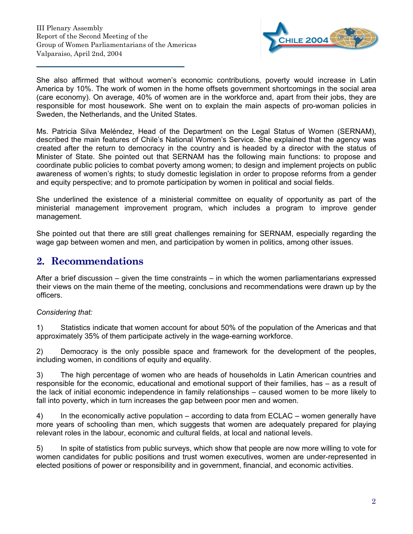

She also affirmed that without women's economic contributions, poverty would increase in Latin America by 10%. The work of women in the home offsets government shortcomings in the social area (care economy). On average, 40% of women are in the workforce and, apart from their jobs, they are responsible for most housework. She went on to explain the main aspects of pro-woman policies in Sweden, the Netherlands, and the United States.

Ms. Patricia Silva Meléndez, Head of the Department on the Legal Status of Women (SERNAM), described the main features of Chile's National Women's Service. She explained that the agency was created after the return to democracy in the country and is headed by a director with the status of Minister of State. She pointed out that SERNAM has the following main functions: to propose and coordinate public policies to combat poverty among women; to design and implement projects on public awareness of women's rights; to study domestic legislation in order to propose reforms from a gender and equity perspective; and to promote participation by women in political and social fields.

She underlined the existence of a ministerial committee on equality of opportunity as part of the ministerial management improvement program, which includes a program to improve gender management.

She pointed out that there are still great challenges remaining for SERNAM, especially regarding the wage gap between women and men, and participation by women in politics, among other issues.

## **2. Recommendations**

After a brief discussion – given the time constraints – in which the women parliamentarians expressed their views on the main theme of the meeting, conclusions and recommendations were drawn up by the officers.

### *Considering that:*

1) Statistics indicate that women account for about 50% of the population of the Americas and that approximately 35% of them participate actively in the wage-earning workforce.

2) Democracy is the only possible space and framework for the development of the peoples, including women, in conditions of equity and equality.

3) The high percentage of women who are heads of households in Latin American countries and responsible for the economic, educational and emotional support of their families, has – as a result of the lack of initial economic independence in family relationships – caused women to be more likely to fall into poverty, which in turn increases the gap between poor men and women.

4) In the economically active population – according to data from ECLAC – women generally have more years of schooling than men, which suggests that women are adequately prepared for playing relevant roles in the labour, economic and cultural fields, at local and national levels.

5) In spite of statistics from public surveys, which show that people are now more willing to vote for women candidates for public positions and trust women executives, women are under-represented in elected positions of power or responsibility and in government, financial, and economic activities.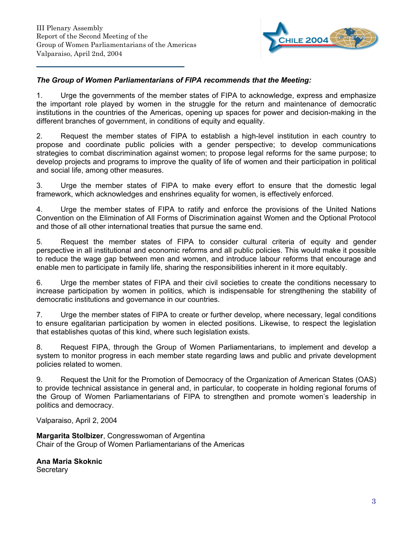

#### *The Group of Women Parliamentarians of FIPA recommends that the Meeting:*

1. Urge the governments of the member states of FIPA to acknowledge, express and emphasize the important role played by women in the struggle for the return and maintenance of democratic institutions in the countries of the Americas, opening up spaces for power and decision-making in the different branches of government, in conditions of equity and equality.

2. Request the member states of FIPA to establish a high-level institution in each country to propose and coordinate public policies with a gender perspective; to develop communications strategies to combat discrimination against women; to propose legal reforms for the same purpose; to develop projects and programs to improve the quality of life of women and their participation in political and social life, among other measures.

3. Urge the member states of FIPA to make every effort to ensure that the domestic legal framework, which acknowledges and enshrines equality for women, is effectively enforced.

4. Urge the member states of FIPA to ratify and enforce the provisions of the United Nations Convention on the Elimination of All Forms of Discrimination against Women and the Optional Protocol and those of all other international treaties that pursue the same end.

5. Request the member states of FIPA to consider cultural criteria of equity and gender perspective in all institutional and economic reforms and all public policies. This would make it possible to reduce the wage gap between men and women, and introduce labour reforms that encourage and enable men to participate in family life, sharing the responsibilities inherent in it more equitably.

6. Urge the member states of FIPA and their civil societies to create the conditions necessary to increase participation by women in politics, which is indispensable for strengthening the stability of democratic institutions and governance in our countries.

7. Urge the member states of FIPA to create or further develop, where necessary, legal conditions to ensure egalitarian participation by women in elected positions. Likewise, to respect the legislation that establishes quotas of this kind, where such legislation exists.

8. Request FIPA, through the Group of Women Parliamentarians, to implement and develop a system to monitor progress in each member state regarding laws and public and private development policies related to women.

9. Request the Unit for the Promotion of Democracy of the Organization of American States (OAS) to provide technical assistance in general and, in particular, to cooperate in holding regional forums of the Group of Women Parliamentarians of FIPA to strengthen and promote women's leadership in politics and democracy.

Valparaiso, April 2, 2004

**Margarita Stolbizer**, Congresswoman of Argentina Chair of the Group of Women Parliamentarians of the Americas

**Ana Maria Skoknic Secretary** 

3